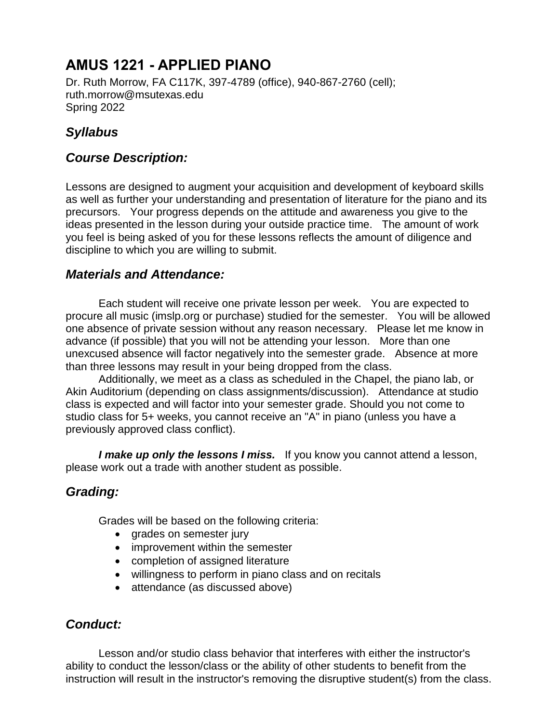# **AMUS 1221 - APPLIED PIANO**

Dr. Ruth Morrow, FA C117K, 397-4789 (office), 940-867-2760 (cell); ruth.morrow@msutexas.edu Spring 2022

# *Syllabus*

### *Course Description:*

Lessons are designed to augment your acquisition and development of keyboard skills as well as further your understanding and presentation of literature for the piano and its precursors. Your progress depends on the attitude and awareness you give to the ideas presented in the lesson during your outside practice time. The amount of work you feel is being asked of you for these lessons reflects the amount of diligence and discipline to which you are willing to submit.

### *Materials and Attendance:*

Each student will receive one private lesson per week. You are expected to procure all music (imslp.org or purchase) studied for the semester. You will be allowed one absence of private session without any reason necessary. Please let me know in advance (if possible) that you will not be attending your lesson. More than one unexcused absence will factor negatively into the semester grade. Absence at more than three lessons may result in your being dropped from the class.

Additionally, we meet as a class as scheduled in the Chapel, the piano lab, or Akin Auditorium (depending on class assignments/discussion). Attendance at studio class is expected and will factor into your semester grade. Should you not come to studio class for 5+ weeks, you cannot receive an "A" in piano (unless you have a previously approved class conflict).

*I make up only the lessons I miss.* If you know you cannot attend a lesson, please work out a trade with another student as possible.

# *Grading:*

Grades will be based on the following criteria:

- grades on semester jury
- improvement within the semester
- completion of assigned literature
- willingness to perform in piano class and on recitals
- attendance (as discussed above)

### *Conduct:*

Lesson and/or studio class behavior that interferes with either the instructor's ability to conduct the lesson/class or the ability of other students to benefit from the instruction will result in the instructor's removing the disruptive student(s) from the class.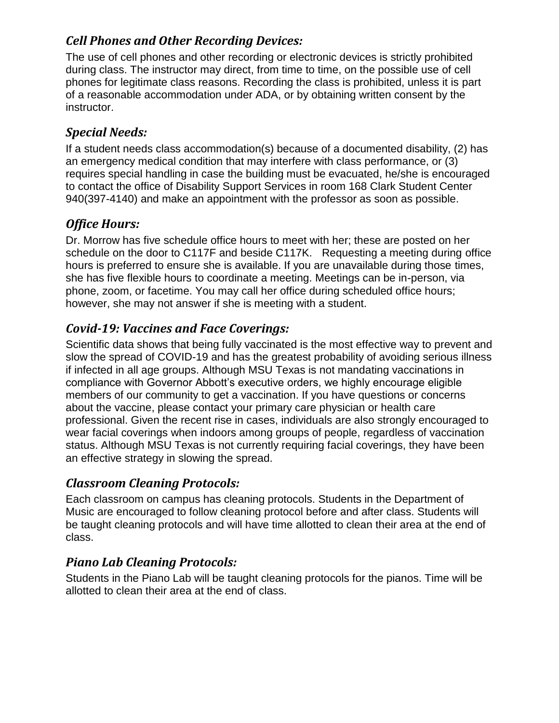# *Cell Phones and Other Recording Devices:*

The use of cell phones and other recording or electronic devices is strictly prohibited during class. The instructor may direct, from time to time, on the possible use of cell phones for legitimate class reasons. Recording the class is prohibited, unless it is part of a reasonable accommodation under ADA, or by obtaining written consent by the instructor.

# *Special Needs:*

If a student needs class accommodation(s) because of a documented disability, (2) has an emergency medical condition that may interfere with class performance, or (3) requires special handling in case the building must be evacuated, he/she is encouraged to contact the office of Disability Support Services in room 168 Clark Student Center 940(397-4140) and make an appointment with the professor as soon as possible.

# *Office Hours:*

Dr. Morrow has five schedule office hours to meet with her; these are posted on her schedule on the door to C117F and beside C117K. Requesting a meeting during office hours is preferred to ensure she is available. If you are unavailable during those times, she has five flexible hours to coordinate a meeting. Meetings can be in-person, via phone, zoom, or facetime. You may call her office during scheduled office hours; however, she may not answer if she is meeting with a student.

# *Covid-19: Vaccines and Face Coverings:*

Scientific data shows that being fully vaccinated is the most effective way to prevent and slow the spread of COVID-19 and has the greatest probability of avoiding serious illness if infected in all age groups. Although MSU Texas is not mandating vaccinations in compliance with Governor Abbott's executive orders, we highly encourage eligible members of our community to get a vaccination. If you have questions or concerns about the vaccine, please contact your primary care physician or health care professional. Given the recent rise in cases, individuals are also strongly encouraged to wear facial coverings when indoors among groups of people, regardless of vaccination status. Although MSU Texas is not currently requiring facial coverings, they have been an effective strategy in slowing the spread.

# *Classroom Cleaning Protocols:*

Each classroom on campus has cleaning protocols. Students in the Department of Music are encouraged to follow cleaning protocol before and after class. Students will be taught cleaning protocols and will have time allotted to clean their area at the end of class.

# *Piano Lab Cleaning Protocols:*

Students in the Piano Lab will be taught cleaning protocols for the pianos. Time will be allotted to clean their area at the end of class.